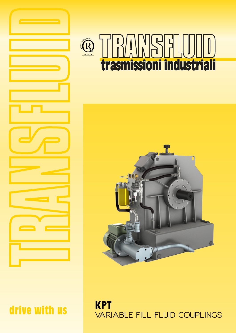

# **EXEMPLE 150 9001 trasmissioni industriali**



**KPT** VARIABLE FILL FLUID COUPLINGS

drive with us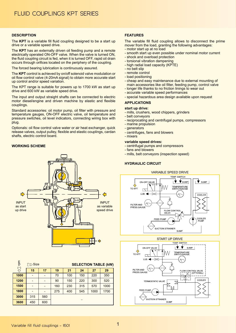## **DESCRIPTION**

The **KPT** is a variable fill fluid coupling designed to be a start up drive or a variable speed drive.

The **KPT** has an externally driven oil feeding pump and a remote electrically operated ON-OFF valve. When the valve is turned ON, the fluid coupling circuit is fed, when it is turned OFF, rapid oil drain occurs through orifices located on the periphery of the coupling.

The forced bearing lubrication is continuously assured.

The **KPT** control is achieved by on/off solenoid valve modulation or oil flow control valve (4-20mA signal) to obtain more accurate start up control and/or speed variation.

The KPT range is suitable for powers up to 1700 kW as start up drive and 600 kW as variable speed drive.

The input and output straight shafts can be connected to electric motor diesel/engine and driven machine by elastic and flexible couplings.

Standard accessories: oil motor pump, oil filter with pressure and temperature gauges, ON-OFF electric valve, oil temperature and pressure switches, oil level indicators, connecting wiring box with plug.

Optionals: oil flow control valve water or air heat exchanger, quick release valves, output pulley, flexible and elastic couplings, cardan shafts, electric control board.

## **WORKING SCHEME**



| md   | $\Sigma \gg$ Size |     | <b>SELECTION TABLE (kW)</b> |     |     |      |      |  |  |  |
|------|-------------------|-----|-----------------------------|-----|-----|------|------|--|--|--|
|      | 15                | 17  | 19                          | 21  | 24  | 27   | 29   |  |  |  |
| 1000 |                   |     | 70                          | 100 | 150 | 220  | 350  |  |  |  |
| 1200 |                   |     | 90                          | 150 | 220 | 300  | 520  |  |  |  |
| 1500 |                   |     | 160                         | 230 | 315 | 570  | 1000 |  |  |  |
| 1800 |                   |     | 275                         | 400 | 545 | 1000 | 1700 |  |  |  |
| 3000 | 315               | 560 |                             |     |     |      |      |  |  |  |
| 3600 | 450               | 600 |                             |     |     |      |      |  |  |  |

## **FEATURES**

The variable fill fluid coupling allows to disconnect the prime mover from the load, granting the following advantages:

- motor start up at no load
- smooth start up even possible under nominal motor current
- shock and overload protection
- torsional vibration dampening
- high radial load capacity (KPTE)
- no belt slip
- remote control
- load positioning
- cheap and easy maintenance due to external mounting of main accessories like oil filter, feeding pump, control valve
- longer life thanks to no friction linings to wear out
- accurate variable speed performances
- special hazardous area design available upon request

## **APPLICATIONS**

## **start up drive:**

- mills, crushers, wood chippers, grinders
- belt conveyors
- reciprocating and centrifugal pumps, compressors
- marine propulsion
- generators
- centrifuges, fans and blowers
- mixers

## **variable speed drives:**

- centrifugal pumps and compressors
- fans and blowers
- mills, belt conveyors (inspection speed)

## **HYDRAULIC CIRCUIT**



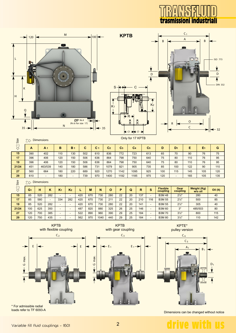



|       | $\ddot{}$ | A 1     | D   | D 1                      | v   | v1  | vz.  | v3   | ◡4   | v5  | υ   | יש  | Е   | е   | u   |
|-------|-----------|---------|-----|--------------------------|-----|-----|------|------|------|-----|-----|-----|-----|-----|-----|
| 15    | 390       | 402     | 110 | 130                      | 502 | 610 | 836  | 772  | 723  | 613 | 65  | 70  | 90  | 76  | 75  |
| 17    | 396       | 406     | 120 | 150                      | 506 | 636 | 864  | 798  | 750  | 640 | 75  | 80  | 110 | 76  | 95  |
| 19    | 396       | 406     | 120 | 150                      | 506 | 636 | 864  | 798  | 750  | 640 | 75  | 80  | 110 | 76  | 95  |
| 21/24 | 451       | 463/539 | 140 | 180                      | 586 | 731 | 1079 | 921  | 905  | 735 | 85  | 100 | 122 | 90  | 110 |
| 27    | 560       | 664     | 180 | 220                      | 689 | 920 | 1270 | 1142 | 1095 | 925 | 100 | 115 | 145 | 105 | 120 |
| 29    | 610       | -       | 180 | $\overline{\phantom{a}}$ | 739 | 970 | 1400 | 1192 | 1185 | 975 | 120 |     | 165 | 105 | 135 |

#### Size  $\Sigma$  Dimensions

| $\bullet$<br>∼ | G1  | н   |     | K1                       | K <sub>2</sub>           |     | М   | N    |     | Þ  |    | R   | S   | <b>Flexible</b><br>coupling | Gear<br>coupling | <b>Weight (Kg)</b><br>w/o oil | Oil (It) |
|----------------|-----|-----|-----|--------------------------|--------------------------|-----|-----|------|-----|----|----|-----|-----|-----------------------------|------------------|-------------------------------|----------|
| 15             | 85  | 520 | 282 | $\overline{\phantom{0}}$ | -                        | 420 | 670 | 730  | 280 | 22 | 20 | 137 |     | <b>B3M48</b>                | $2\frac{1}{2}$ " | 280                           | 40       |
|                |     |     |     |                          |                          |     |     |      |     |    |    |     |     |                             |                  |                               |          |
| 17             | 85  | 580 |     | 334                      | 282                      | 420 | 670 | 730  | 211 | 22 | 20 | 210 | 116 | <b>B3M 55</b>               | $2\frac{1}{2}$   | 500                           | 85       |
| 19             | 85  | 520 | 282 | $\overline{\phantom{0}}$ | -                        | 420 | 670 | 730  | 280 | 22 | 20 | 141 |     | <b>B3M 55</b>               | $2\frac{1}{2}$ " | 305                           | 40       |
| 21/24          | 100 | 625 | 350 | $\overline{\phantom{0}}$ | $\overline{\phantom{0}}$ | 487 | 820 | 880  | 325 | 26 | 25 | 146 |     | <b>B3M60</b>                | $\Omega$         | 485/503                       | 80       |
| 27             | 120 | 700 | 385 | $\overline{\phantom{0}}$ | -                        | 522 | 890 | 960  | 390 | 29 | 25 | 184 |     | <b>B3M70</b>                | $3\frac{1}{2}$ " | 800                           | 115      |
| 29             | 120 | 750 | 435 | $\overline{\phantom{0}}$ | -                        | 562 | 970 | 1040 | 440 | 29 | 25 | 184 |     | <b>B3M80</b>                | $3\frac{1}{2}$ " | 110                           | 142      |





\* For admissible radial loads refer to TF 6093-A

KPTB with gear coupling

 $E_1$  E 1

G max.





Dimensions can be changed without notice

ve with us